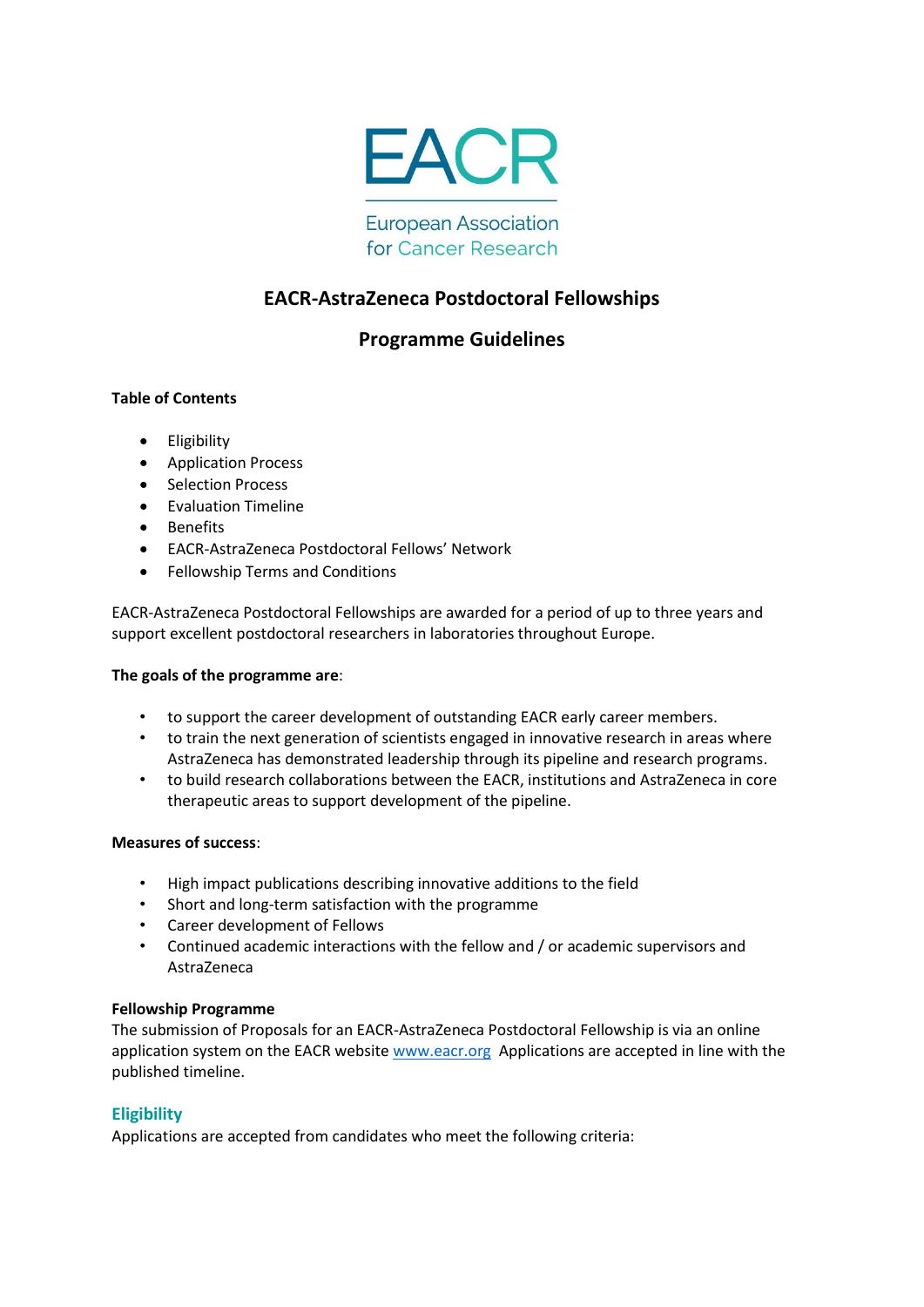

**European Association** for Cancer Research

# **EACR-AstraZeneca Postdoctoral Fellowships**

# **Programme Guidelines**

# **Table of Contents**

- **•** Eligibility
- Application Process
- Selection Process
- **•** Evaluation Timeline
- Benefits
- EACR-AstraZeneca Postdoctoral Fellows' Network
- Fellowship Terms and Conditions

EACR-AstraZeneca Postdoctoral Fellowships are awarded for a period of up to three years and support excellent postdoctoral researchers in laboratories throughout Europe.

### **The goals of the programme are**:

- to support the career development of outstanding EACR early career members.
- to train the next generation of scientists engaged in innovative research in areas where AstraZeneca has demonstrated leadership through its pipeline and research programs.
- to build research collaborations between the EACR, institutions and AstraZeneca in core therapeutic areas to support development of the pipeline.

### **Measures of success**:

- High impact publications describing innovative additions to the field
- Short and long-term satisfaction with the programme
- Career development of Fellows
- Continued academic interactions with the fellow and / or academic supervisors and AstraZeneca

### **Fellowship Programme**

The submission of Proposals for an EACR-AstraZeneca Postdoctoral Fellowship is via an online application system on the EACR website [www.eacr.org](http://www.eacr.org/) Applications are accepted in line with the published timeline.

### **Eligibility**

Applications are accepted from candidates who meet the following criteria: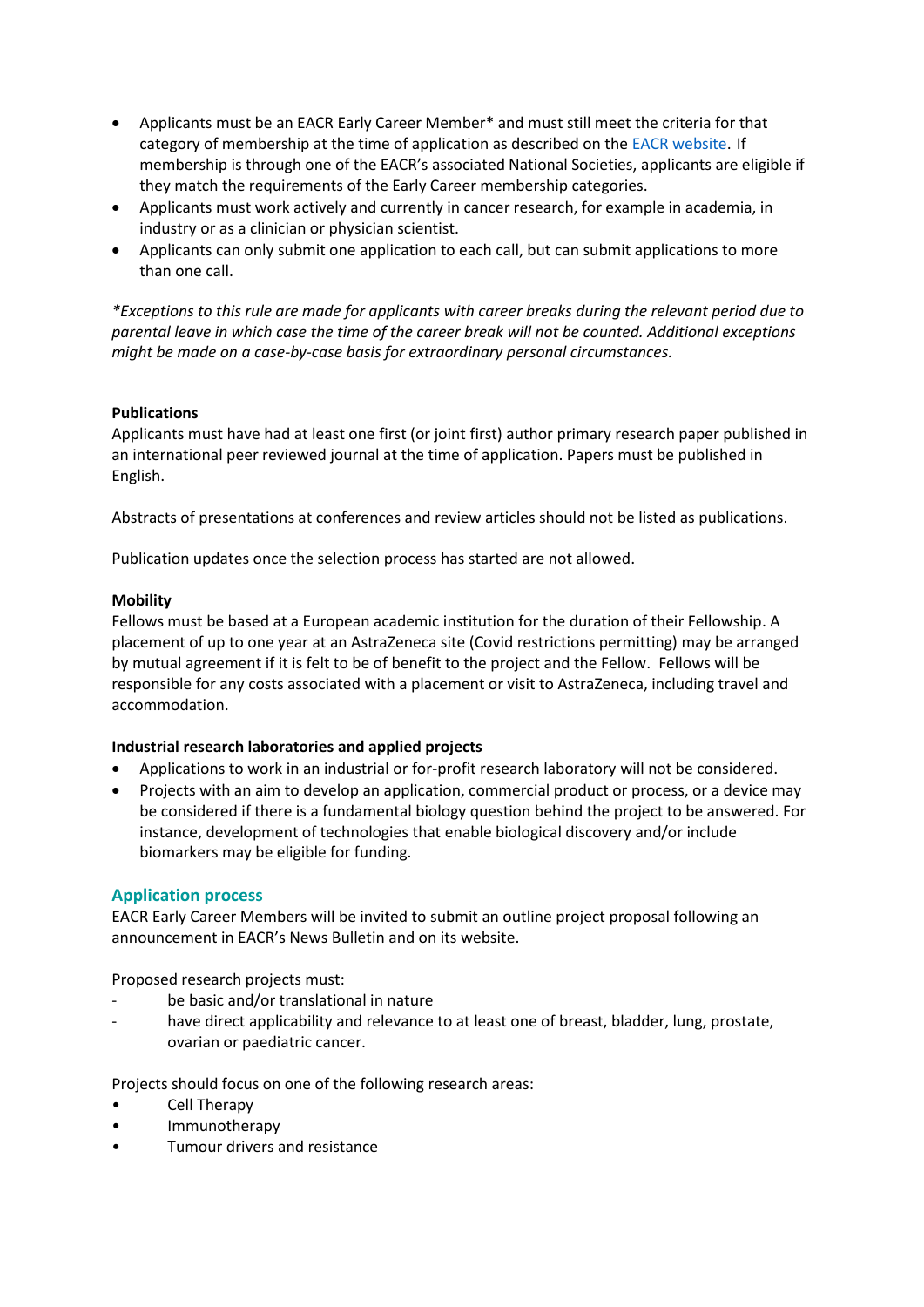- Applicants must be an EACR Early Career Member\* and must still meet the criteria for that category of membership at the time of application as described on the **EACR** website. If membership is through one of the EACR's associated National Societies, applicants are eligible if they match the requirements of the Early Career membership categories.
- Applicants must work actively and currently in cancer research, for example in academia, in industry or as a clinician or physician scientist.
- Applicants can only submit one application to each call, but can submit applications to more than one call.

*\*Exceptions to this rule are made for applicants with career breaks during the relevant period due to parental leave in which case the time of the career break will not be counted. Additional exceptions might be made on a case-by-case basis for extraordinary personal circumstances.*

## **Publications**

Applicants must have had at least one first (or joint first) author primary research paper published in an international peer reviewed journal at the time of application. Papers must be published in English.

Abstracts of presentations at conferences and review articles should not be listed as publications.

Publication updates once the selection process has started are not allowed.

## **Mobility**

Fellows must be based at a European academic institution for the duration of their Fellowship. A placement of up to one year at an AstraZeneca site (Covid restrictions permitting) may be arranged by mutual agreement if it is felt to be of benefit to the project and the Fellow. Fellows will be responsible for any costs associated with a placement or visit to AstraZeneca, including travel and accommodation.

# **Industrial research laboratories and applied projects**

- Applications to work in an industrial or for-profit research laboratory will not be considered.
- Projects with an aim to develop an application, commercial product or process, or a device may be considered if there is a fundamental biology question behind the project to be answered. For instance, development of technologies that enable biological discovery and/or include biomarkers may be eligible for funding.

# **Application process**

EACR Early Career Members will be invited to submit an outline project proposal following an announcement in EACR's News Bulletin and on its website.

Proposed research projects must:

- be basic and/or translational in nature
- have direct applicability and relevance to at least one of breast, bladder, lung, prostate, ovarian or paediatric cancer.

Projects should focus on one of the following research areas:

- Cell Therapy
- Immunotherapy
- Tumour drivers and resistance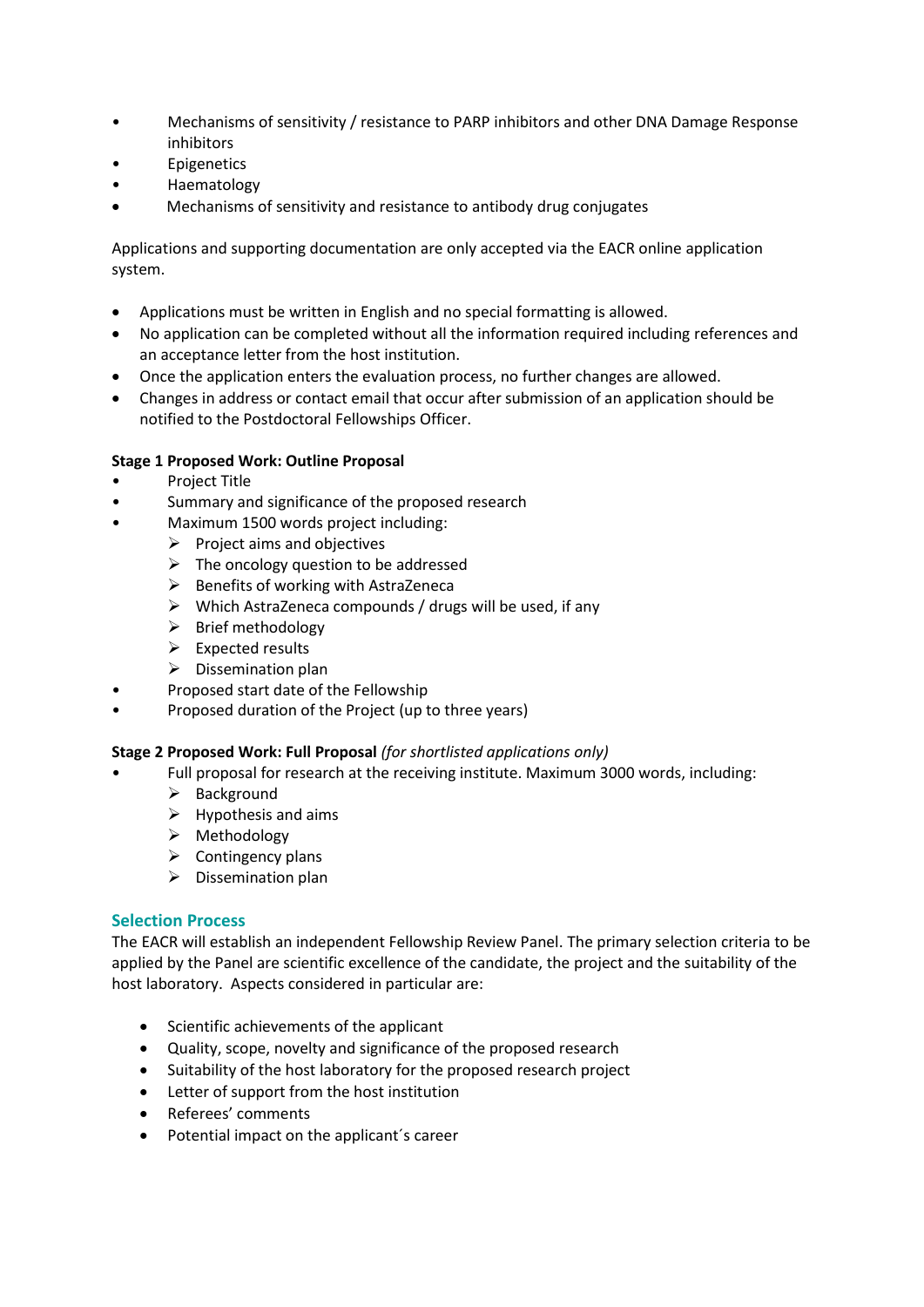- Mechanisms of sensitivity / resistance to PARP inhibitors and other DNA Damage Response inhibitors
- **Epigenetics**
- Haematology
- Mechanisms of sensitivity and resistance to antibody drug conjugates

Applications and supporting documentation are only accepted via the EACR online application system.

- Applications must be written in English and no special formatting is allowed.
- No application can be completed without all the information required including references and an acceptance letter from the host institution.
- Once the application enters the evaluation process, no further changes are allowed.
- Changes in address or contact email that occur after submission of an application should be notified to the Postdoctoral Fellowships Officer.

## **Stage 1 Proposed Work: Outline Proposal**

- Project Title
- Summary and significance of the proposed research
- Maximum 1500 words project including:
	- $\triangleright$  Project aims and objectives
	- $\triangleright$  The oncology question to be addressed
	- $\triangleright$  Benefits of working with AstraZeneca
	- $\triangleright$  Which AstraZeneca compounds / drugs will be used, if any
	- $\triangleright$  Brief methodology
	- $\triangleright$  Expected results
	- $\triangleright$  Dissemination plan
- Proposed start date of the Fellowship
- Proposed duration of the Project (up to three years)

### **Stage 2 Proposed Work: Full Proposal** *(for shortlisted applications only)*

- Full proposal for research at the receiving institute. Maximum 3000 words, including:
	- $\triangleright$  Background
	- $\triangleright$  Hypothesis and aims
	- $\triangleright$  Methodology
	- $\triangleright$  Contingency plans
	- $\triangleright$  Dissemination plan

### **Selection Process**

The EACR will establish an independent Fellowship Review Panel. The primary selection criteria to be applied by the Panel are scientific excellence of the candidate, the project and the suitability of the host laboratory. Aspects considered in particular are:

- Scientific achievements of the applicant
- Quality, scope, novelty and significance of the proposed research
- Suitability of the host laboratory for the proposed research project
- Letter of support from the host institution
- Referees' comments
- Potential impact on the applicant's career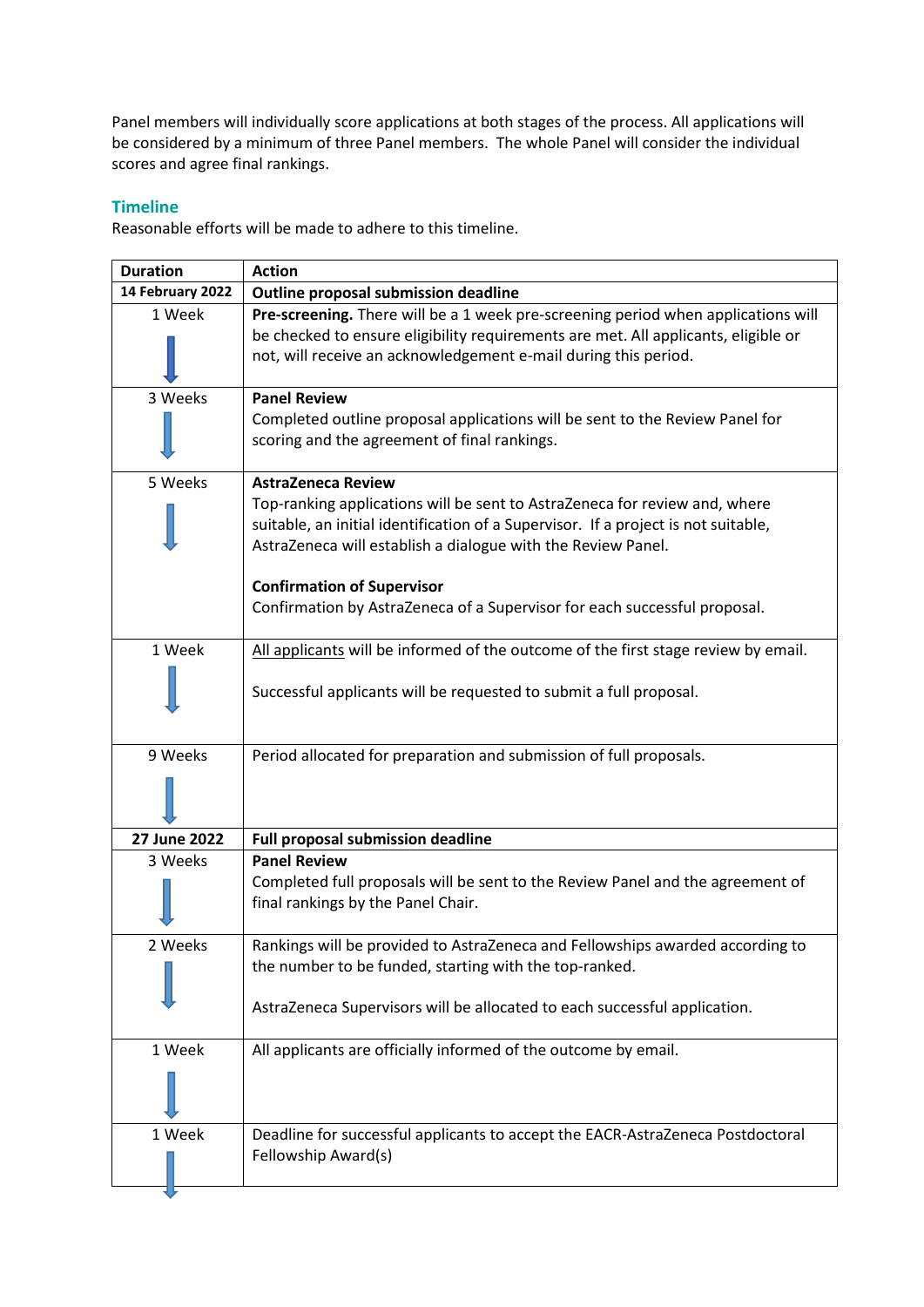Panel members will individually score applications at both stages of the process. All applications will be considered by a minimum of three Panel members. The whole Panel will consider the individual scores and agree final rankings.

# **Timeline**

Reasonable efforts will be made to adhere to this timeline.

| <b>Duration</b>  | <b>Action</b>                                                                                                                                                                                                                    |
|------------------|----------------------------------------------------------------------------------------------------------------------------------------------------------------------------------------------------------------------------------|
| 14 February 2022 | Outline proposal submission deadline                                                                                                                                                                                             |
| 1 Week           | Pre-screening. There will be a 1 week pre-screening period when applications will                                                                                                                                                |
|                  | be checked to ensure eligibility requirements are met. All applicants, eligible or                                                                                                                                               |
|                  | not, will receive an acknowledgement e-mail during this period.                                                                                                                                                                  |
| 3 Weeks          | <b>Panel Review</b>                                                                                                                                                                                                              |
|                  | Completed outline proposal applications will be sent to the Review Panel for<br>scoring and the agreement of final rankings.                                                                                                     |
| 5 Weeks          | <b>AstraZeneca Review</b>                                                                                                                                                                                                        |
|                  | Top-ranking applications will be sent to AstraZeneca for review and, where<br>suitable, an initial identification of a Supervisor. If a project is not suitable,<br>AstraZeneca will establish a dialogue with the Review Panel. |
|                  | <b>Confirmation of Supervisor</b>                                                                                                                                                                                                |
|                  | Confirmation by AstraZeneca of a Supervisor for each successful proposal.                                                                                                                                                        |
| 1 Week           | All applicants will be informed of the outcome of the first stage review by email.                                                                                                                                               |
|                  | Successful applicants will be requested to submit a full proposal.                                                                                                                                                               |
| 9 Weeks          | Period allocated for preparation and submission of full proposals.                                                                                                                                                               |
|                  |                                                                                                                                                                                                                                  |
| 27 June 2022     | <b>Full proposal submission deadline</b>                                                                                                                                                                                         |
| 3 Weeks          | <b>Panel Review</b>                                                                                                                                                                                                              |
|                  | Completed full proposals will be sent to the Review Panel and the agreement of<br>final rankings by the Panel Chair.                                                                                                             |
| 2 Weeks          | Rankings will be provided to AstraZeneca and Fellowships awarded according to                                                                                                                                                    |
|                  | the number to be funded, starting with the top-ranked.                                                                                                                                                                           |
|                  | AstraZeneca Supervisors will be allocated to each successful application.                                                                                                                                                        |
| 1 Week           | All applicants are officially informed of the outcome by email.                                                                                                                                                                  |
|                  |                                                                                                                                                                                                                                  |
| 1 Week           | Deadline for successful applicants to accept the EACR-AstraZeneca Postdoctoral                                                                                                                                                   |
|                  | Fellowship Award(s)                                                                                                                                                                                                              |